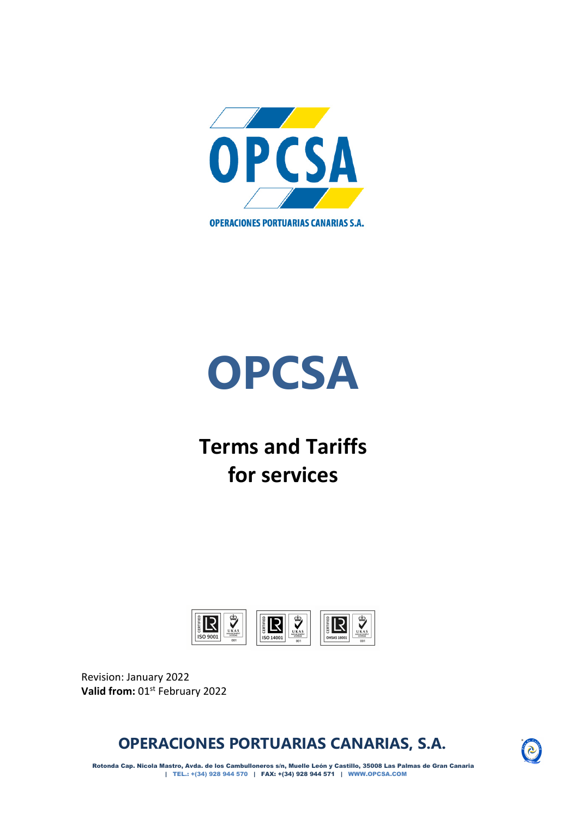



# **Terms and Tariffs for services**



Revision: January 2022 **Valid from:** 01st February 2022

**OPERACIONES PORTUARIAS CANARIAS, S.A.**



Rotonda Cap. Nicola Mastro, Avda. de los Cambulloneros s/n, Muelle León y Castillo, 35008 Las Palmas de Gran Canaria | TEL.: +(34) 928 944 570 | FAX: +(34) 928 944 571 | WWW.OPCSA.COM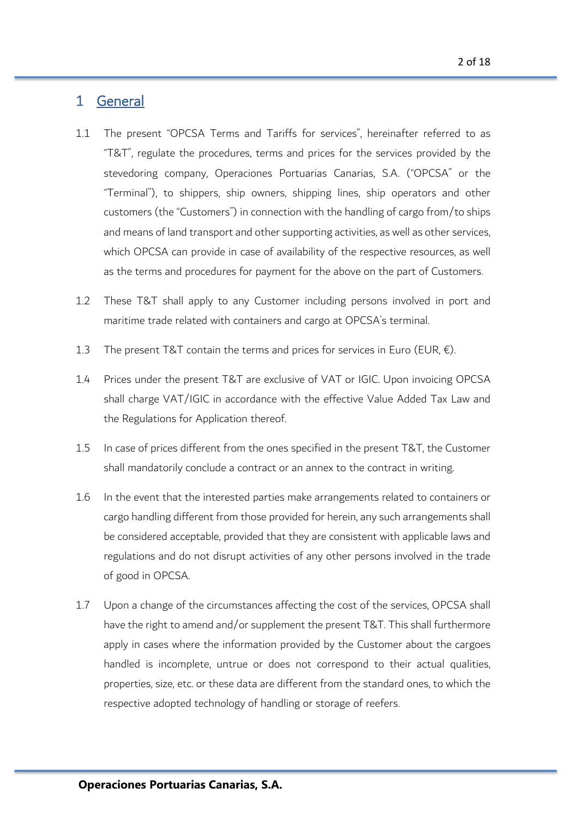# 1 General

- 1.1 The present "OPCSA Terms and Tariffs for services", hereinafter referred to as "T&T", regulate the procedures, terms and prices for the services provided by the stevedoring company, Operaciones Portuarias Canarias, S.A. ("OPCSA" or the "Terminal"), to shippers, ship owners, shipping lines, ship operators and other customers (the "Customers") in connection with the handling of cargo from/to ships and means of land transport and other supporting activities, as well as other services, which OPCSA can provide in case of availability of the respective resources, as well as the terms and procedures for payment for the above on the part of Customers.
- 1.2 These T&T shall apply to any Customer including persons involved in port and maritime trade related with containers and cargo at OPCSA's terminal.
- 1.3 The present T&T contain the terms and prices for services in Euro (EUR,  $\epsilon$ ).
- 1.4 Prices under the present T&T are exclusive of VAT or IGIC. Upon invoicing OPCSA shall charge VAT/IGIC in accordance with the effective Value Added Tax Law and the Regulations for Application thereof.
- 1.5 In case of prices different from the ones specified in the present T&T, the Customer shall mandatorily conclude a contract or an annex to the contract in writing.
- 1.6 In the event that the interested parties make arrangements related to containers or cargo handling different from those provided for herein, any such arrangements shall be considered acceptable, provided that they are consistent with applicable laws and regulations and do not disrupt activities of any other persons involved in the trade of good in OPCSA.
- 1.7 Upon a change of the circumstances affecting the cost of the services, OPCSA shall have the right to amend and/or supplement the present T&T. This shall furthermore apply in cases where the information provided by the Customer about the cargoes handled is incomplete, untrue or does not correspond to their actual qualities, properties, size, etc. or these data are different from the standard ones, to which the respective adopted technology of handling or storage of reefers.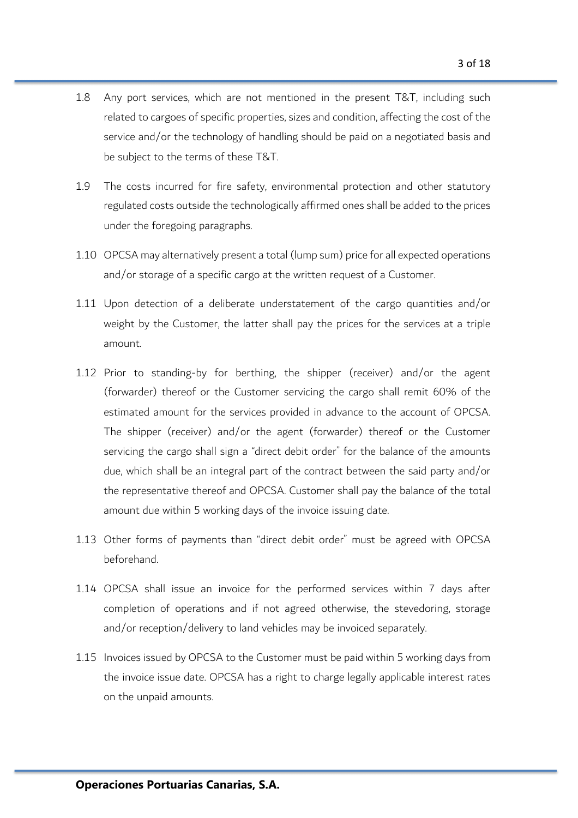- 1.8 Any port services, which are not mentioned in the present T&T, including such related to cargoes of specific properties, sizes and condition, affecting the cost of the service and/or the technology of handling should be paid on a negotiated basis and be subject to the terms of these T&T.
- 1.9 The costs incurred for fire safety, environmental protection and other statutory regulated costs outside the technologically affirmed ones shall be added to the prices under the foregoing paragraphs.
- 1.10 OPCSA may alternatively present a total (lump sum) price for all expected operations and/or storage of a specific cargo at the written request of a Customer.
- 1.11 Upon detection of a deliberate understatement of the cargo quantities and/or weight by the Customer, the latter shall pay the prices for the services at a triple amount.
- 1.12 Prior to standing-by for berthing, the shipper (receiver) and/or the agent (forwarder) thereof or the Customer servicing the cargo shall remit 60% of the estimated amount for the services provided in advance to the account of OPCSA. The shipper (receiver) and/or the agent (forwarder) thereof or the Customer servicing the cargo shall sign a "direct debit order" for the balance of the amounts due, which shall be an integral part of the contract between the said party and/or the representative thereof and OPCSA. Customer shall pay the balance of the total amount due within 5 working days of the invoice issuing date.
- 1.13 Other forms of payments than "direct debit order" must be agreed with OPCSA beforehand.
- 1.14 OPCSA shall issue an invoice for the performed services within 7 days after completion of operations and if not agreed otherwise, the stevedoring, storage and/or reception/delivery to land vehicles may be invoiced separately.
- 1.15 Invoices issued by OPCSA to the Customer must be paid within 5 working days from the invoice issue date. OPCSA has a right to charge legally applicable interest rates on the unpaid amounts.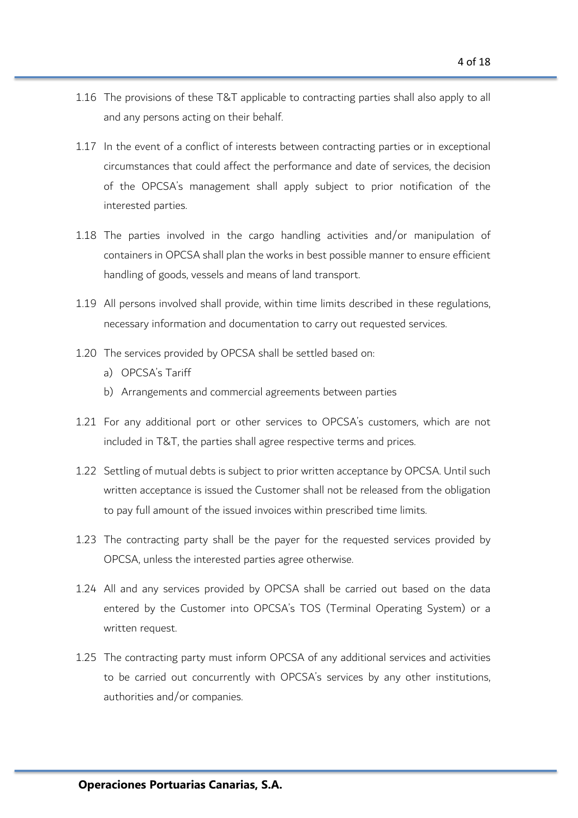- 1.16 The provisions of these T&T applicable to contracting parties shall also apply to all and any persons acting on their behalf.
- 1.17 In the event of a conflict of interests between contracting parties or in exceptional circumstances that could affect the performance and date of services, the decision of the OPCSA's management shall apply subject to prior notification of the interested parties.
- 1.18 The parties involved in the cargo handling activities and/or manipulation of containers in OPCSA shall plan the works in best possible manner to ensure efficient handling of goods, vessels and means of land transport.
- 1.19 All persons involved shall provide, within time limits described in these regulations, necessary information and documentation to carry out requested services.
- 1.20 The services provided by OPCSA shall be settled based on:
	- a) OPCSA's Tariff
	- b) Arrangements and commercial agreements between parties
- 1.21 For any additional port or other services to OPCSA's customers, which are not included in T&T, the parties shall agree respective terms and prices.
- 1.22 Settling of mutual debts is subject to prior written acceptance by OPCSA. Until such written acceptance is issued the Customer shall not be released from the obligation to pay full amount of the issued invoices within prescribed time limits.
- 1.23 The contracting party shall be the payer for the requested services provided by OPCSA, unless the interested parties agree otherwise.
- 1.24 All and any services provided by OPCSA shall be carried out based on the data entered by the Customer into OPCSA's TOS (Terminal Operating System) or a written request.
- 1.25 The contracting party must inform OPCSA of any additional services and activities to be carried out concurrently with OPCSA's services by any other institutions, authorities and/or companies.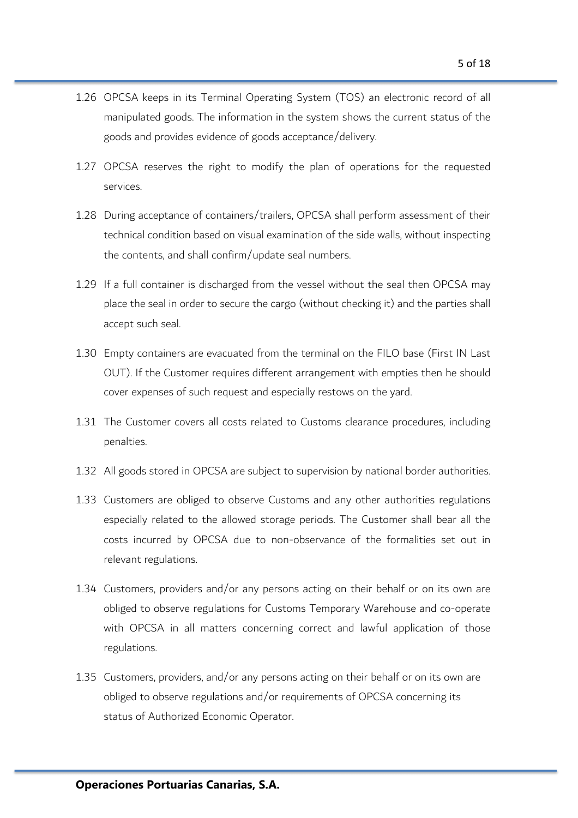- 1.26 OPCSA keeps in its Terminal Operating System (TOS) an electronic record of all manipulated goods. The information in the system shows the current status of the goods and provides evidence of goods acceptance/delivery.
- 1.27 OPCSA reserves the right to modify the plan of operations for the requested services.
- 1.28 During acceptance of containers/trailers, OPCSA shall perform assessment of their technical condition based on visual examination of the side walls, without inspecting the contents, and shall confirm/update seal numbers.
- 1.29 If a full container is discharged from the vessel without the seal then OPCSA may place the seal in order to secure the cargo (without checking it) and the parties shall accept such seal.
- 1.30 Empty containers are evacuated from the terminal on the FILO base (First IN Last OUT). If the Customer requires different arrangement with empties then he should cover expenses of such request and especially restows on the yard.
- 1.31 The Customer covers all costs related to Customs clearance procedures, including penalties.
- 1.32 All goods stored in OPCSA are subject to supervision by national border authorities.
- 1.33 Customers are obliged to observe Customs and any other authorities regulations especially related to the allowed storage periods. The Customer shall bear all the costs incurred by OPCSA due to non-observance of the formalities set out in relevant regulations.
- 1.34 Customers, providers and/or any persons acting on their behalf or on its own are obliged to observe regulations for Customs Temporary Warehouse and co-operate with OPCSA in all matters concerning correct and lawful application of those regulations.
- 1.35 Customers, providers, and/or any persons acting on their behalf or on its own are obliged to observe regulations and/or requirements of OPCSA concerning its status of Authorized Economic Operator.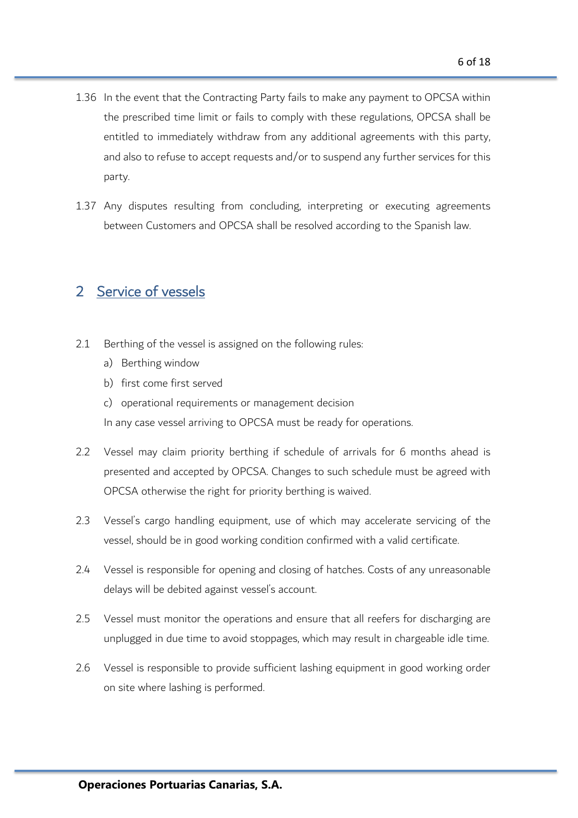- 1.36 In the event that the Contracting Party fails to make any payment to OPCSA within the prescribed time limit or fails to comply with these regulations, OPCSA shall be entitled to immediately withdraw from any additional agreements with this party, and also to refuse to accept requests and/or to suspend any further services for this party.
- 1.37 Any disputes resulting from concluding, interpreting or executing agreements between Customers and OPCSA shall be resolved according to the Spanish law.

# 2 Service of vessels

- 2.1 Berthing of the vessel is assigned on the following rules:
	- a) Berthing window
	- b) first come first served
	- c) operational requirements or management decision

In any case vessel arriving to OPCSA must be ready for operations.

- 2.2 Vessel may claim priority berthing if schedule of arrivals for 6 months ahead is presented and accepted by OPCSA. Changes to such schedule must be agreed with OPCSA otherwise the right for priority berthing is waived.
- 2.3 Vessel's cargo handling equipment, use of which may accelerate servicing of the vessel, should be in good working condition confirmed with a valid certificate.
- 2.4 Vessel is responsible for opening and closing of hatches. Costs of any unreasonable delays will be debited against vessel's account.
- 2.5 Vessel must monitor the operations and ensure that all reefers for discharging are unplugged in due time to avoid stoppages, which may result in chargeable idle time.
- 2.6 Vessel is responsible to provide sufficient lashing equipment in good working order on site where lashing is performed.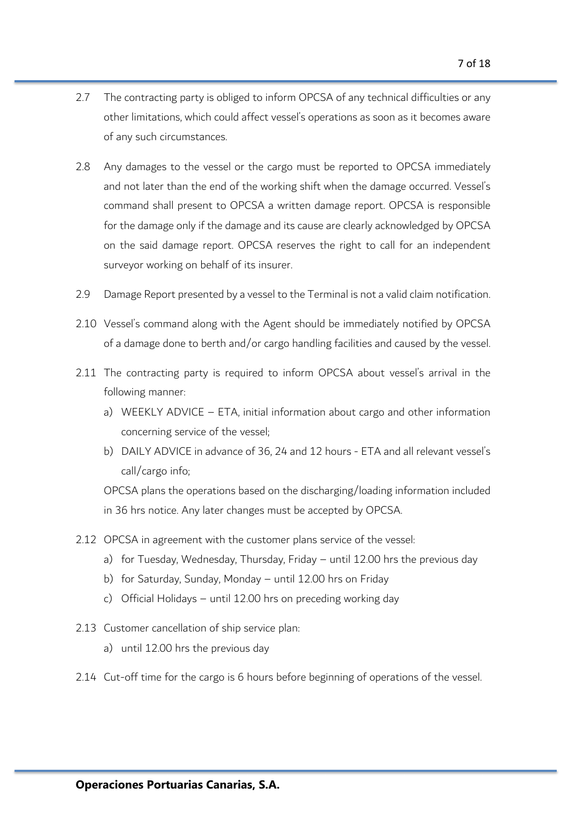- 2.7 The contracting party is obliged to inform OPCSA of any technical difficulties or any other limitations, which could affect vessel's operations as soon as it becomes aware of any such circumstances.
- 2.8 Any damages to the vessel or the cargo must be reported to OPCSA immediately and not later than the end of the working shift when the damage occurred. Vessel's command shall present to OPCSA a written damage report. OPCSA is responsible for the damage only if the damage and its cause are clearly acknowledged by OPCSA on the said damage report. OPCSA reserves the right to call for an independent surveyor working on behalf of its insurer.
- 2.9 Damage Report presented by a vessel to the Terminal is not a valid claim notification.
- 2.10 Vessel's command along with the Agent should be immediately notified by OPCSA of a damage done to berth and/or cargo handling facilities and caused by the vessel.
- 2.11 The contracting party is required to inform OPCSA about vessel's arrival in the following manner:
	- a) WEEKLY ADVICE ETA, initial information about cargo and other information concerning service of the vessel;
	- b) DAILY ADVICE in advance of 36, 24 and 12 hours ETA and all relevant vessel's call/cargo info;

OPCSA plans the operations based on the discharging/loading information included in 36 hrs notice. Any later changes must be accepted by OPCSA.

- 2.12 OPCSA in agreement with the customer plans service of the vessel:
	- a) for Tuesday, Wednesday, Thursday, Friday until 12.00 hrs the previous day
	- b) for Saturday, Sunday, Monday until 12.00 hrs on Friday
	- c) Official Holidays until 12.00 hrs on preceding working day
- 2.13 Customer cancellation of ship service plan:
	- a) until 12.00 hrs the previous day
- 2.14 Cut-off time for the cargo is 6 hours before beginning of operations of the vessel.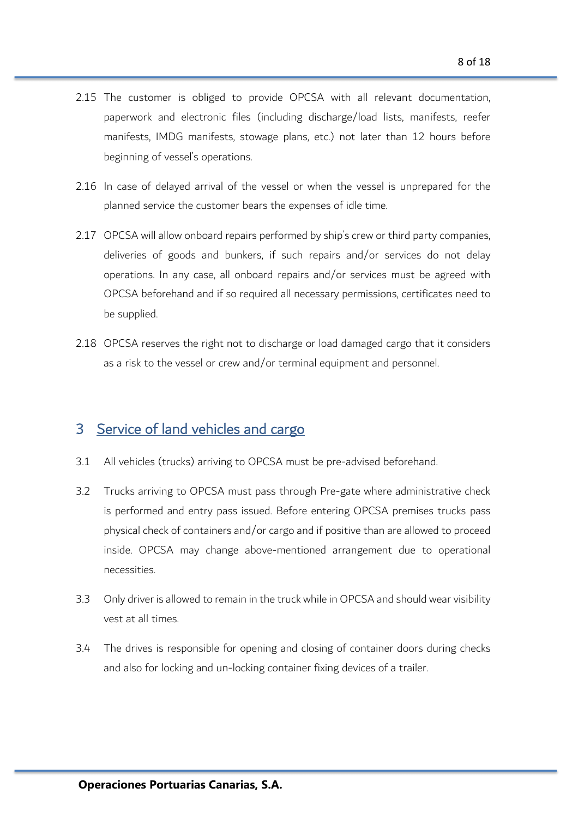- 2.15 The customer is obliged to provide OPCSA with all relevant documentation, paperwork and electronic files (including discharge/load lists, manifests, reefer manifests, IMDG manifests, stowage plans, etc.) not later than 12 hours before beginning of vessel's operations.
- 2.16 In case of delayed arrival of the vessel or when the vessel is unprepared for the planned service the customer bears the expenses of idle time.
- 2.17 OPCSA will allow onboard repairs performed by ship's crew or third party companies, deliveries of goods and bunkers, if such repairs and/or services do not delay operations. In any case, all onboard repairs and/or services must be agreed with OPCSA beforehand and if so required all necessary permissions, certificates need to be supplied.
- 2.18 OPCSA reserves the right not to discharge or load damaged cargo that it considers as a risk to the vessel or crew and/or terminal equipment and personnel.

### 3 Service of land vehicles and cargo

- 3.1 All vehicles (trucks) arriving to OPCSA must be pre-advised beforehand.
- 3.2 Trucks arriving to OPCSA must pass through Pre-gate where administrative check is performed and entry pass issued. Before entering OPCSA premises trucks pass physical check of containers and/or cargo and if positive than are allowed to proceed inside. OPCSA may change above-mentioned arrangement due to operational necessities.
- 3.3 Only driver is allowed to remain in the truck while in OPCSA and should wear visibility vest at all times.
- 3.4 The drives is responsible for opening and closing of container doors during checks and also for locking and un-locking container fixing devices of a trailer.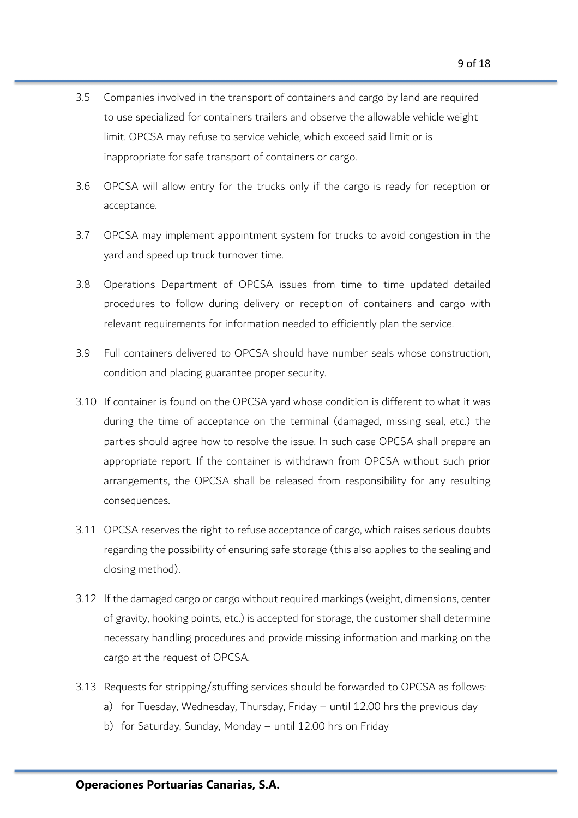- 3.5 Companies involved in the transport of containers and cargo by land are required to use specialized for containers trailers and observe the allowable vehicle weight limit. OPCSA may refuse to service vehicle, which exceed said limit or is inappropriate for safe transport of containers or cargo.
- 3.6 OPCSA will allow entry for the trucks only if the cargo is ready for reception or acceptance.
- 3.7 OPCSA may implement appointment system for trucks to avoid congestion in the yard and speed up truck turnover time.
- 3.8 Operations Department of OPCSA issues from time to time updated detailed procedures to follow during delivery or reception of containers and cargo with relevant requirements for information needed to efficiently plan the service.
- 3.9 Full containers delivered to OPCSA should have number seals whose construction, condition and placing guarantee proper security.
- 3.10 If container is found on the OPCSA yard whose condition is different to what it was during the time of acceptance on the terminal (damaged, missing seal, etc.) the parties should agree how to resolve the issue. In such case OPCSA shall prepare an appropriate report. If the container is withdrawn from OPCSA without such prior arrangements, the OPCSA shall be released from responsibility for any resulting consequences.
- 3.11 OPCSA reserves the right to refuse acceptance of cargo, which raises serious doubts regarding the possibility of ensuring safe storage (this also applies to the sealing and closing method).
- 3.12 If the damaged cargo or cargo without required markings (weight, dimensions, center of gravity, hooking points, etc.) is accepted for storage, the customer shall determine necessary handling procedures and provide missing information and marking on the cargo at the request of OPCSA.
- 3.13 Requests for stripping/stuffing services should be forwarded to OPCSA as follows:
	- a) for Tuesday, Wednesday, Thursday, Friday until 12.00 hrs the previous day
	- b) for Saturday, Sunday, Monday until 12.00 hrs on Friday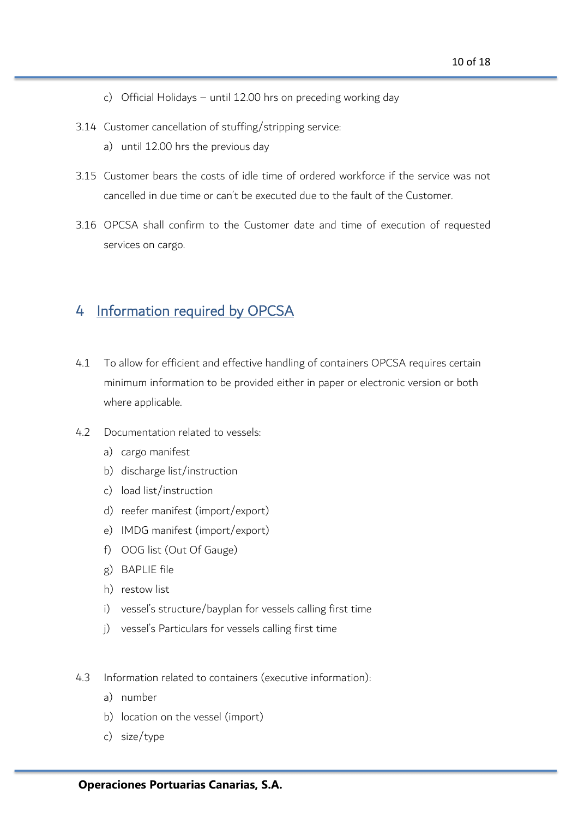- c) Official Holidays until 12.00 hrs on preceding working day
- 3.14 Customer cancellation of stuffing/stripping service:
	- a) until 12.00 hrs the previous day
- 3.15 Customer bears the costs of idle time of ordered workforce if the service was not cancelled in due time or can't be executed due to the fault of the Customer.
- 3.16 OPCSA shall confirm to the Customer date and time of execution of requested services on cargo.

# 4 Information required by OPCSA

- 4.1 To allow for efficient and effective handling of containers OPCSA requires certain minimum information to be provided either in paper or electronic version or both where applicable.
- 4.2 Documentation related to vessels:
	- a) cargo manifest
	- b) discharge list/instruction
	- c) load list/instruction
	- d) reefer manifest (import/export)
	- e) IMDG manifest (import/export)
	- f) OOG list (Out Of Gauge)
	- g) BAPLIE file
	- h) restow list
	- i) vessel's structure/bayplan for vessels calling first time
	- j) vessel's Particulars for vessels calling first time
- 4.3 Information related to containers (executive information):
	- a) number
	- b) location on the vessel (import)
	- c) size/type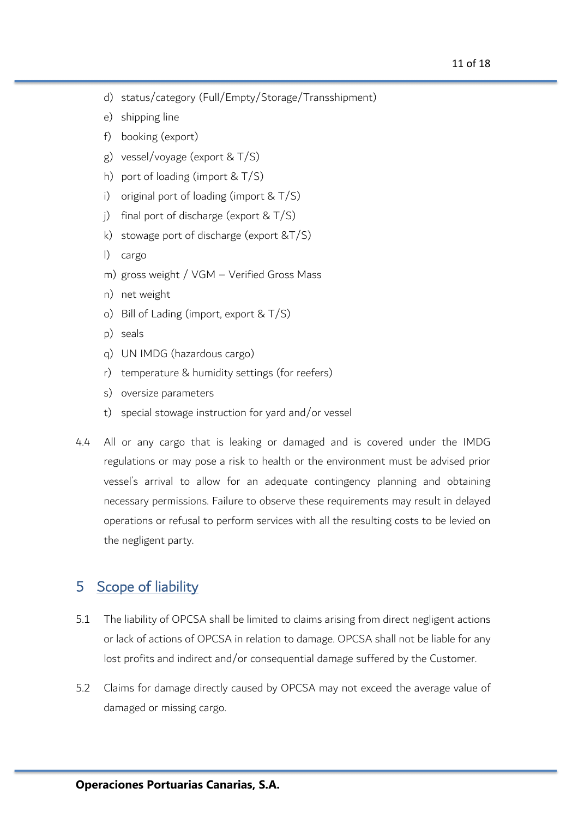- d) status/category (Full/Empty/Storage/Transshipment)
- e) shipping line
- f) booking (export)
- g) vessel/voyage (export & T/S)
- h) port of loading (import & T/S)
- i) original port of loading (import & T/S)
- j) final port of discharge (export  $& T/S$ )
- k) stowage port of discharge (export &T/S)
- l) cargo
- m) gross weight / VGM Verified Gross Mass
- n) net weight
- o) Bill of Lading (import, export & T/S)
- p) seals
- q) UN IMDG (hazardous cargo)
- r) temperature & humidity settings (for reefers)
- s) oversize parameters
- t) special stowage instruction for yard and/or vessel
- 4.4 All or any cargo that is leaking or damaged and is covered under the IMDG regulations or may pose a risk to health or the environment must be advised prior vessel's arrival to allow for an adequate contingency planning and obtaining necessary permissions. Failure to observe these requirements may result in delayed operations or refusal to perform services with all the resulting costs to be levied on the negligent party.

### 5 Scope of liability

- 5.1 The liability of OPCSA shall be limited to claims arising from direct negligent actions or lack of actions of OPCSA in relation to damage. OPCSA shall not be liable for any lost profits and indirect and/or consequential damage suffered by the Customer.
- 5.2 Claims for damage directly caused by OPCSA may not exceed the average value of damaged or missing cargo.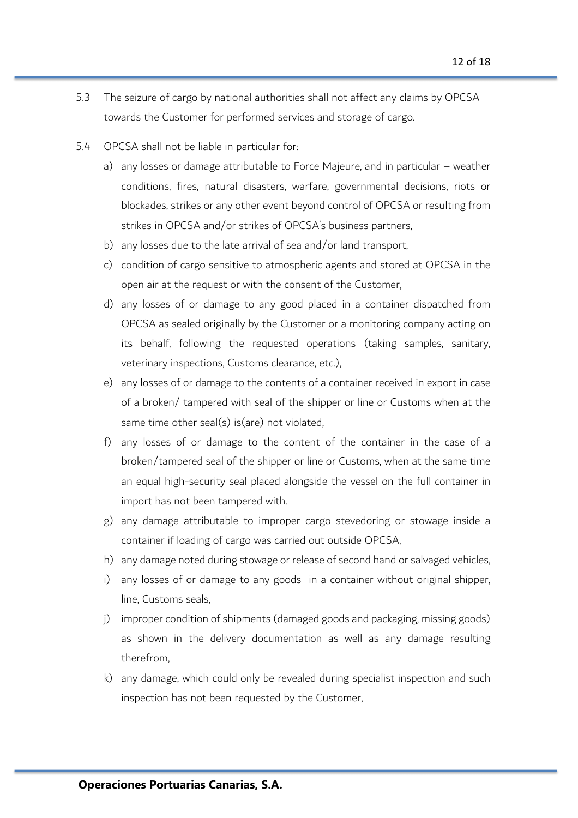- 5.3 The seizure of cargo by national authorities shall not affect any claims by OPCSA towards the Customer for performed services and storage of cargo.
- 5.4 OPCSA shall not be liable in particular for:
	- a) any losses or damage attributable to Force Majeure, and in particular weather conditions, fires, natural disasters, warfare, governmental decisions, riots or blockades, strikes or any other event beyond control of OPCSA or resulting from strikes in OPCSA and/or strikes of OPCSA's business partners,
	- b) any losses due to the late arrival of sea and/or land transport,
	- c) condition of cargo sensitive to atmospheric agents and stored at OPCSA in the open air at the request or with the consent of the Customer,
	- d) any losses of or damage to any good placed in a container dispatched from OPCSA as sealed originally by the Customer or a monitoring company acting on its behalf, following the requested operations (taking samples, sanitary, veterinary inspections, Customs clearance, etc.),
	- e) any losses of or damage to the contents of a container received in export in case of a broken/ tampered with seal of the shipper or line or Customs when at the same time other seal(s) is(are) not violated,
	- f) any losses of or damage to the content of the container in the case of a broken/tampered seal of the shipper or line or Customs, when at the same time an equal high-security seal placed alongside the vessel on the full container in import has not been tampered with.
	- g) any damage attributable to improper cargo stevedoring or stowage inside a container if loading of cargo was carried out outside OPCSA,
	- h) any damage noted during stowage or release of second hand or salvaged vehicles,
	- i) any losses of or damage to any goods in a container without original shipper, line, Customs seals,
	- j) improper condition of shipments (damaged goods and packaging, missing goods) as shown in the delivery documentation as well as any damage resulting therefrom,
	- k) any damage, which could only be revealed during specialist inspection and such inspection has not been requested by the Customer,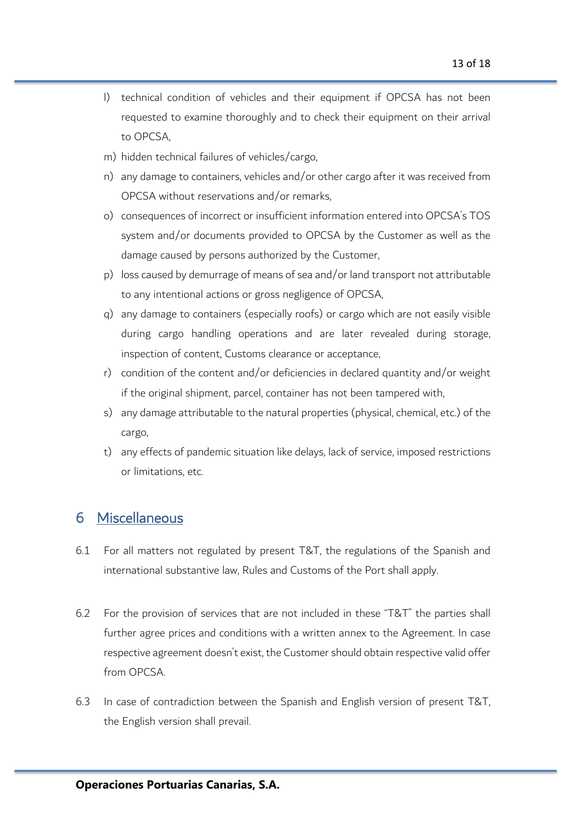- l) technical condition of vehicles and their equipment if OPCSA has not been requested to examine thoroughly and to check their equipment on their arrival to OPCSA,
- m) hidden technical failures of vehicles/cargo,
- n) any damage to containers, vehicles and/or other cargo after it was received from OPCSA without reservations and/or remarks,
- o) consequences of incorrect or insufficient information entered into OPCSA's TOS system and/or documents provided to OPCSA by the Customer as well as the damage caused by persons authorized by the Customer,
- p) loss caused by demurrage of means of sea and/or land transport not attributable to any intentional actions or gross negligence of OPCSA,
- q) any damage to containers (especially roofs) or cargo which are not easily visible during cargo handling operations and are later revealed during storage, inspection of content, Customs clearance or acceptance,
- r) condition of the content and/or deficiencies in declared quantity and/or weight if the original shipment, parcel, container has not been tampered with,
- s) any damage attributable to the natural properties (physical, chemical, etc.) of the cargo,
- t) any effects of pandemic situation like delays, lack of service, imposed restrictions or limitations, etc.

# 6 Miscellaneous

- 6.1 For all matters not regulated by present T&T, the regulations of the Spanish and international substantive law, Rules and Customs of the Port shall apply.
- 6.2 For the provision of services that are not included in these "T&T" the parties shall further agree prices and conditions with a written annex to the Agreement. In case respective agreement doesn't exist, the Customer should obtain respective valid offer from OPCSA.
- 6.3 In case of contradiction between the Spanish and English version of present T&T, the English version shall prevail.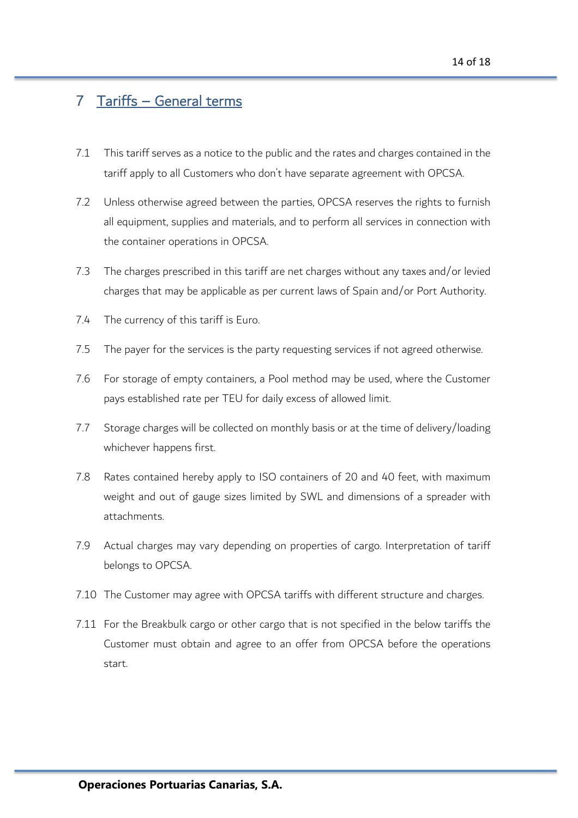# 7 Tariffs – General terms

- 7.1 This tariff serves as a notice to the public and the rates and charges contained in the tariff apply to all Customers who don't have separate agreement with OPCSA.
- 7.2 Unless otherwise agreed between the parties, OPCSA reserves the rights to furnish all equipment, supplies and materials, and to perform all services in connection with the container operations in OPCSA.
- 7.3 The charges prescribed in this tariff are net charges without any taxes and/or levied charges that may be applicable as per current laws of Spain and/or Port Authority.
- 7.4 The currency of this tariff is Euro.
- 7.5 The payer for the services is the party requesting services if not agreed otherwise.
- 7.6 For storage of empty containers, a Pool method may be used, where the Customer pays established rate per TEU for daily excess of allowed limit.
- 7.7 Storage charges will be collected on monthly basis or at the time of delivery/loading whichever happens first.
- 7.8 Rates contained hereby apply to ISO containers of 20 and 40 feet, with maximum weight and out of gauge sizes limited by SWL and dimensions of a spreader with attachments.
- 7.9 Actual charges may vary depending on properties of cargo. Interpretation of tariff belongs to OPCSA.
- 7.10 The Customer may agree with OPCSA tariffs with different structure and charges.
- 7.11 For the Breakbulk cargo or other cargo that is not specified in the below tariffs the Customer must obtain and agree to an offer from OPCSA before the operations start.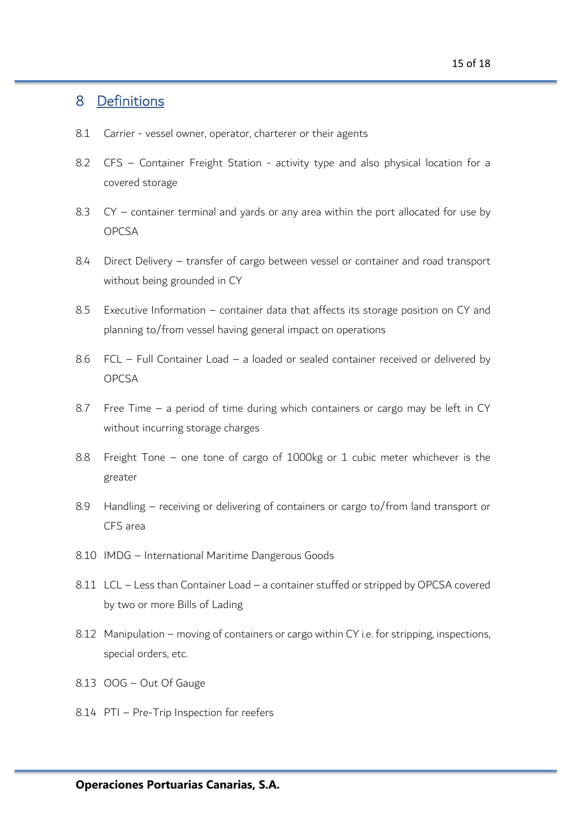# 8 Definitions

- 8.1 Carrier vessel owner, operator, charterer or their agents
- 8.2 CFS Container Freight Station activity type and also physical location for a covered storage
- 8.3 CY container terminal and yards or any area within the port allocated for use by OPCSA
- 8.4 Direct Delivery transfer of cargo between vessel or container and road transport without being grounded in CY
- 8.5 Executive Information container data that affects its storage position on CY and planning to/from vessel having general impact on operations
- 8.6 FCL Full Container Load a loaded or sealed container received or delivered by OPCSA
- 8.7 Free Time a period of time during which containers or cargo may be left in CY without incurring storage charges
- 8.8 Freight Tone one tone of cargo of 1000kg or 1 cubic meter whichever is the greater
- 8.9 Handling receiving or delivering of containers or cargo to/from land transport or CFS area
- 8.10 IMDG International Maritime Dangerous Goods
- 8.11 LCL Less than Container Load a container stuffed or stripped by OPCSA covered by two or more Bills of Lading
- 8.12 Manipulation moving of containers or cargo within CY i.e. for stripping, inspections, special orders, etc.
- 8.13 OOG Out Of Gauge
- 8.14 PTI Pre-Trip Inspection for reefers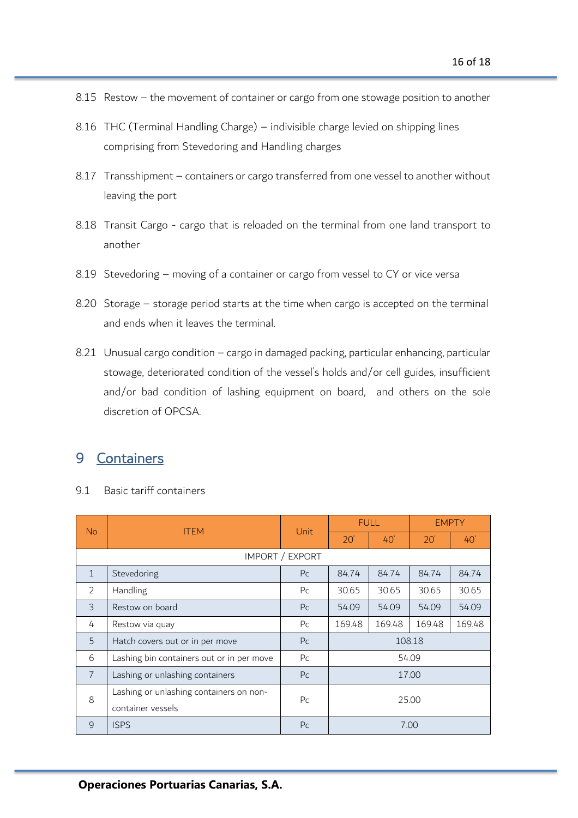- 8.15 Restow the movement of container or cargo from one stowage position to another
- 8.16 THC (Terminal Handling Charge) indivisible charge levied on shipping lines comprising from Stevedoring and Handling charges
- 8.17 Transshipment containers or cargo transferred from one vessel to another without leaving the port
- 8.18 Transit Cargo cargo that is reloaded on the terminal from one land transport to another
- 8.19 Stevedoring moving of a container or cargo from vessel to CY or vice versa
- 8.20 Storage storage period starts at the time when cargo is accepted on the terminal and ends when it leaves the terminal.
- 8.21 Unusual cargo condition cargo in damaged packing, particular enhancing, particular stowage, deteriorated condition of the vessel's holds and/or cell guides, insufficient and/or bad condition of lashing equipment on board, and others on the sole discretion of OPCSA.

### 9 Containers

9.1 Basic tariff containers

| <b>No</b>       | <b>ITEM</b>                               | Unit           | <b>FULL</b> |        | <b>EMPTY</b> |        |  |
|-----------------|-------------------------------------------|----------------|-------------|--------|--------------|--------|--|
|                 |                                           |                | 20'         | 40'    | 20'          | 40'    |  |
| IMPORT / EXPORT |                                           |                |             |        |              |        |  |
| $\mathbf{1}$    | Stevedoring                               | P <sub>C</sub> | 84.74       | 84.74  | 84.74        | 84.74  |  |
| 2               | Handling                                  | P <sub>C</sub> | 30.65       | 30.65  | 30.65        | 30.65  |  |
| 3               | Restow on board                           | P <sub>C</sub> | 54.09       | 54.09  | 54.09        | 54.09  |  |
| 4               | Restow via quay                           | P <sub>C</sub> | 169.48      | 169.48 | 169.48       | 169.48 |  |
| 5               | Hatch covers out or in per move           | P <sub>C</sub> | 108.18      |        |              |        |  |
| 6               | Lashing bin containers out or in per move | P <sub>C</sub> | 54.09       |        |              |        |  |
| $\overline{7}$  | Lashing or unlashing containers           | P <sub>C</sub> | 17.00       |        |              |        |  |
| 8               | Lashing or unlashing containers on non-   | P <sub>C</sub> | 25.00       |        |              |        |  |
|                 | container vessels                         |                |             |        |              |        |  |
| 9               | <b>ISPS</b>                               | P <sub>C</sub> | 7.00        |        |              |        |  |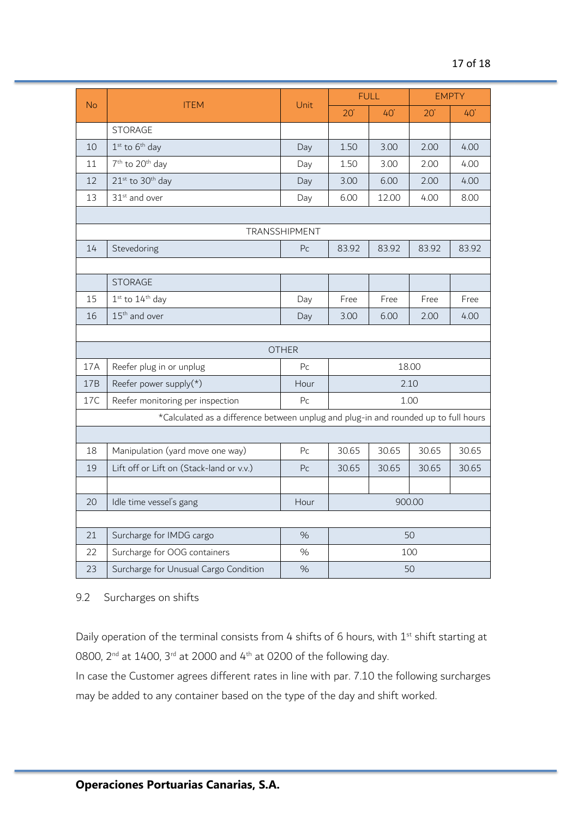| <b>No</b>                                                                           | <b>ITEM</b>                              | Unit           | <b>FULL</b>           |       | <b>EMPTY</b> |       |  |  |
|-------------------------------------------------------------------------------------|------------------------------------------|----------------|-----------------------|-------|--------------|-------|--|--|
|                                                                                     |                                          |                | 20'                   | 40'   | 20'          | 40'   |  |  |
|                                                                                     | <b>STORAGE</b>                           |                |                       |       |              |       |  |  |
| 10                                                                                  | $1st$ to $6th$ day                       | Day            | 1.50                  | 3.00  | 2.00         | 4.00  |  |  |
| 11                                                                                  | 7 <sup>th</sup> to 20 <sup>th</sup> day  | Day            | 1.50                  | 3.00  | 2.00         | 4.00  |  |  |
| 12                                                                                  | $21^{st}$ to $30^{th}$ day               | Day            | 3.00                  | 6.00  | 2.00         | 4.00  |  |  |
| 13                                                                                  | 31 <sup>st</sup> and over                | Day            | 6.00<br>12.00<br>4.00 |       |              | 8.00  |  |  |
|                                                                                     |                                          |                |                       |       |              |       |  |  |
| TRANSSHIPMENT                                                                       |                                          |                |                       |       |              |       |  |  |
| 14                                                                                  | Stevedoring                              | P <sub>C</sub> | 83.92                 | 83.92 | 83.92        | 83.92 |  |  |
|                                                                                     |                                          |                |                       |       |              |       |  |  |
|                                                                                     | <b>STORAGE</b>                           |                |                       |       |              |       |  |  |
| 15                                                                                  | $1st$ to $14th$ day                      | Day            | Free                  | Free  | Free         | Free  |  |  |
| 16                                                                                  | 15 <sup>th</sup> and over                | Day            | 3.00                  | 6.00  | 2.00         | 4.00  |  |  |
|                                                                                     |                                          |                |                       |       |              |       |  |  |
| <b>OTHER</b>                                                                        |                                          |                |                       |       |              |       |  |  |
| 17A                                                                                 | Reefer plug in or unplug                 | P <sub>C</sub> | 18.00                 |       |              |       |  |  |
| 17B                                                                                 | Reefer power supply $(*)$                | Hour           | 2.10                  |       |              |       |  |  |
| 17C                                                                                 | Reefer monitoring per inspection         | P <sub>C</sub> | 1.00                  |       |              |       |  |  |
| *Calculated as a difference between unplug and plug-in and rounded up to full hours |                                          |                |                       |       |              |       |  |  |
|                                                                                     |                                          |                |                       |       |              |       |  |  |
| 18                                                                                  | Manipulation (yard move one way)         | P <sub>C</sub> | 30.65                 | 30.65 | 30.65        | 30.65 |  |  |
| 19                                                                                  | Lift off or Lift on (Stack-land or v.v.) | P <sub>C</sub> | 30.65                 | 30.65 | 30.65        | 30.65 |  |  |
|                                                                                     |                                          |                |                       |       |              |       |  |  |
| 20                                                                                  | Idle time vessel's gang                  | Hour           | 900.00                |       |              |       |  |  |
|                                                                                     |                                          |                |                       |       |              |       |  |  |
| 21                                                                                  | Surcharge for IMDG cargo                 | %              | 50                    |       |              |       |  |  |
| 22                                                                                  | Surcharge for OOG containers             | $\%$           | 100                   |       |              |       |  |  |
| 23                                                                                  | Surcharge for Unusual Cargo Condition    | $\%$           | 50                    |       |              |       |  |  |

9.2 Surcharges on shifts

Daily operation of the terminal consists from 4 shifts of 6 hours, with 1<sup>st</sup> shift starting at 0800,  $2^{nd}$  at 1400,  $3^{rd}$  at 2000 and  $4^{th}$  at 0200 of the following day.

In case the Customer agrees different rates in line with par. 7.10 the following surcharges may be added to any container based on the type of the day and shift worked.